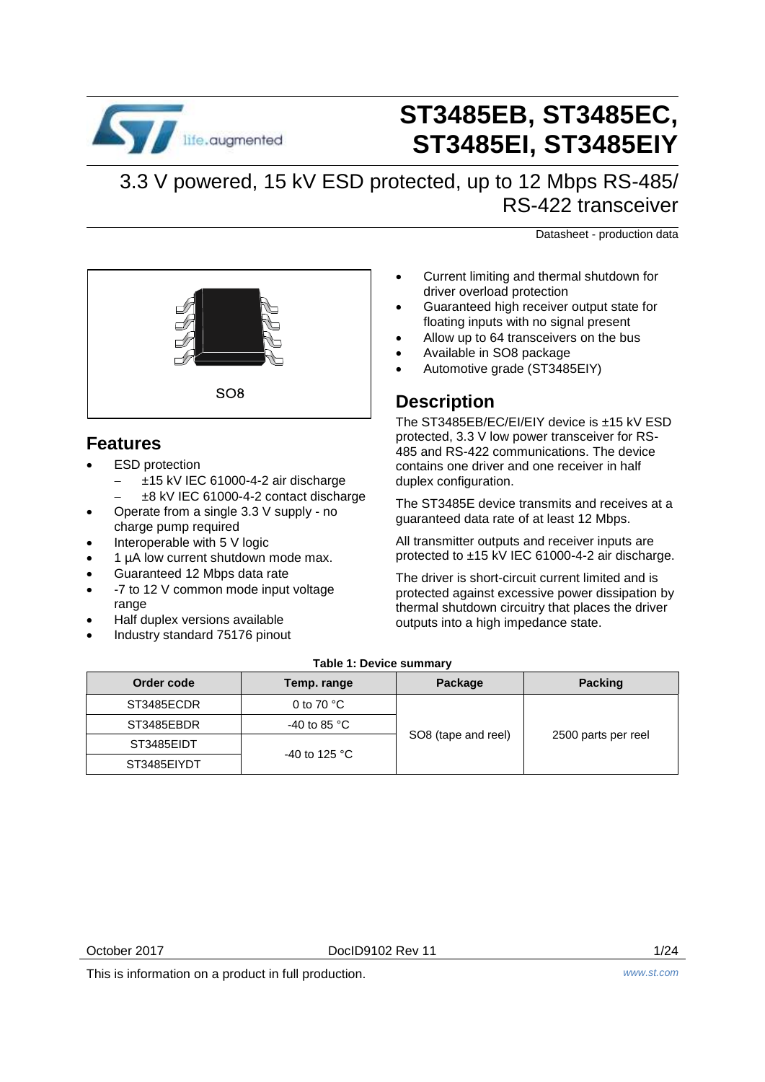

# **ST3485EB, ST3485EC, ST3485EI, ST3485EIY**

3.3 V powered, 15 kV ESD protected, up to 12 Mbps RS-485/ RS-422 transceiver

Datasheet - production data



### **Features**

- ESD protection
	- ±15 kV IEC 61000-4-2 air discharge
	- ±8 kV IEC 61000-4-2 contact discharge
- Operate from a single 3.3 V supply no charge pump required
- Interoperable with 5 V logic
- 1 µA low current shutdown mode max.
- Guaranteed 12 Mbps data rate
- -7 to 12 V common mode input voltage range
- Half duplex versions available
- Industry standard 75176 pinout
- Current limiting and thermal shutdown for driver overload protection
- Guaranteed high receiver output state for floating inputs with no signal present
- Allow up to 64 transceivers on the bus
- Available in SO8 package
- Automotive grade (ST3485EIY)

### **Description**

The ST3485EB/EC/EI/EIY device is ±15 kV ESD protected, 3.3 V low power transceiver for RS-485 and RS-422 communications. The device contains one driver and one receiver in half duplex configuration.

The ST3485E device transmits and receives at a guaranteed data rate of at least 12 Mbps.

All transmitter outputs and receiver inputs are protected to ±15 kV IEC 61000-4-2 air discharge.

The driver is short-circuit current limited and is protected against excessive power dissipation by thermal shutdown circuitry that places the driver outputs into a high impedance state.

### **Table 1: Device summary**

| Order code  | Temp. range            | Package                              | <b>Packing</b>      |
|-------------|------------------------|--------------------------------------|---------------------|
| ST3485ECDR  | 0 to 70 $^{\circ}$ C   |                                      |                     |
| ST3485EBDR  | -40 to 85 $^{\circ}$ C |                                      |                     |
| ST3485EIDT  |                        | SO8 (tape and reel)<br>-40 to 125 °C | 2500 parts per reel |
| ST3485EIYDT |                        |                                      |                     |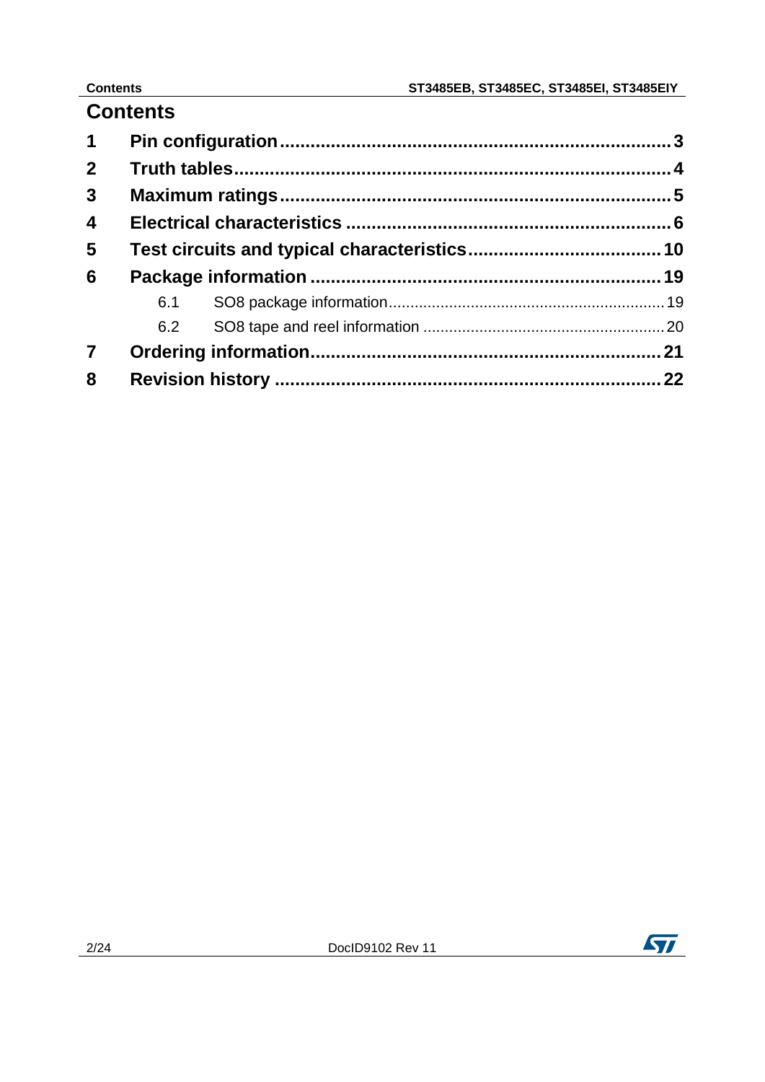# **Contents**

| $\mathbf 1$             |     |  |
|-------------------------|-----|--|
| $\mathbf{2}$            |     |  |
| $\mathbf{3}$            |     |  |
| $\overline{\mathbf{4}}$ |     |  |
| $\overline{\mathbf{5}}$ |     |  |
| 6                       |     |  |
|                         | 6.1 |  |
|                         | 6.2 |  |
| $\overline{7}$          |     |  |
| 8                       |     |  |

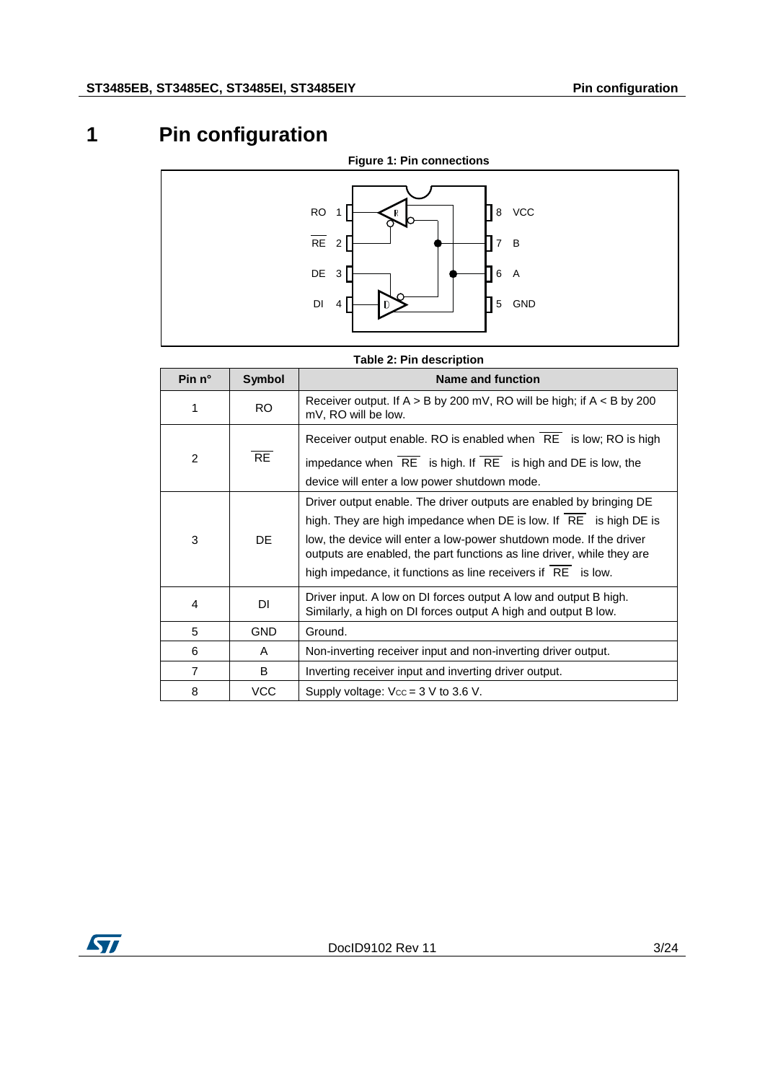# **1 Pin configuration**

<span id="page-2-0"></span>

### **Table 2: Pin description**

| Pin n°         | <b>Symbol</b> | Name and function                                                                                                                                                                                                                                                                                                                                         |
|----------------|---------------|-----------------------------------------------------------------------------------------------------------------------------------------------------------------------------------------------------------------------------------------------------------------------------------------------------------------------------------------------------------|
| 1              | RO.           | Receiver output. If $A > B$ by 200 mV, RO will be high; if $A < B$ by 200<br>mV, RO will be low.                                                                                                                                                                                                                                                          |
| $\mathcal{P}$  | <b>RE</b>     | Receiver output enable. RO is enabled when $\overline{RE}$ is low; RO is high<br>impedance when $\overline{RE}$ is high. If $\overline{RE}$ is high and DE is low, the<br>device will enter a low power shutdown mode.                                                                                                                                    |
| 3              | DE.           | Driver output enable. The driver outputs are enabled by bringing DE<br>high. They are high impedance when DE is low. If RE is high DE is<br>low, the device will enter a low-power shutdown mode. If the driver<br>outputs are enabled, the part functions as line driver, while they are<br>high impedance, it functions as line receivers if RE is low. |
| 4              | DI            | Driver input. A low on DI forces output A low and output B high.<br>Similarly, a high on DI forces output A high and output B low.                                                                                                                                                                                                                        |
| 5              | <b>GND</b>    | Ground.                                                                                                                                                                                                                                                                                                                                                   |
| 6              | A             | Non-inverting receiver input and non-inverting driver output.                                                                                                                                                                                                                                                                                             |
| $\overline{7}$ | B             | Inverting receiver input and inverting driver output.                                                                                                                                                                                                                                                                                                     |
| 8              | <b>VCC</b>    | Supply voltage: $V_{\text{CC}} = 3$ V to 3.6 V.                                                                                                                                                                                                                                                                                                           |

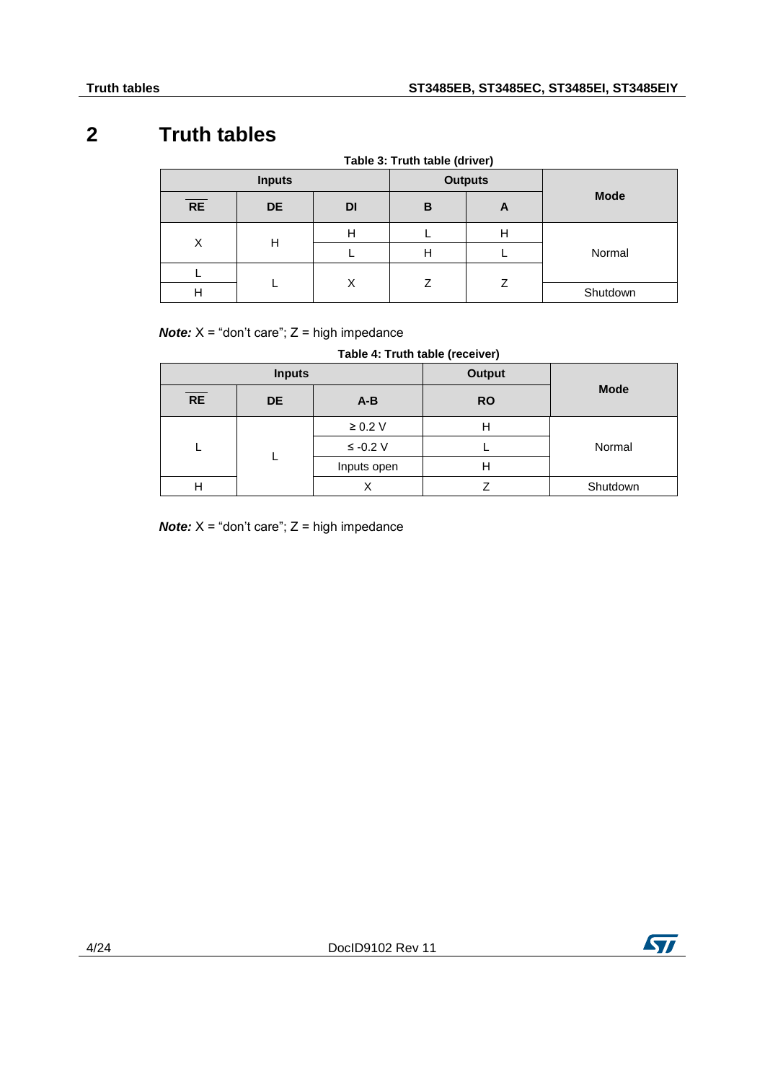### **2 Truth tables**

<span id="page-3-0"></span>

| Table 3: Truth table (driver) |           |           |                |   |             |   |  |
|-------------------------------|-----------|-----------|----------------|---|-------------|---|--|
| <b>Inputs</b>                 |           |           | <b>Outputs</b> |   |             |   |  |
| <b>RE</b>                     | <b>DE</b> | <b>DI</b> | B              | A | <b>Mode</b> |   |  |
| X                             | н         |           |                | н |             | Н |  |
|                               |           |           |                |   |             | H |  |
|                               |           |           | 7              |   |             |   |  |
| Н                             |           | X<br>Ζ    | Shutdown       |   |             |   |  |

*Note:*  $X =$  "don't care";  $Z =$  high impedance

### **Table 4: Truth table (receiver)**

| <b>Inputs</b> |           |              | <b>Output</b> |             |
|---------------|-----------|--------------|---------------|-------------|
| RE            | <b>DE</b> | $A-B$        | <b>RO</b>     | <b>Mode</b> |
|               |           | $\geq 0.2$ V |               |             |
|               |           | $\le$ -0.2 V |               | Normal      |
|               |           | Inputs open  | н             |             |
| Н             |           |              |               | Shutdown    |

*Note:*  $X =$  "don't care";  $Z =$  high impedance

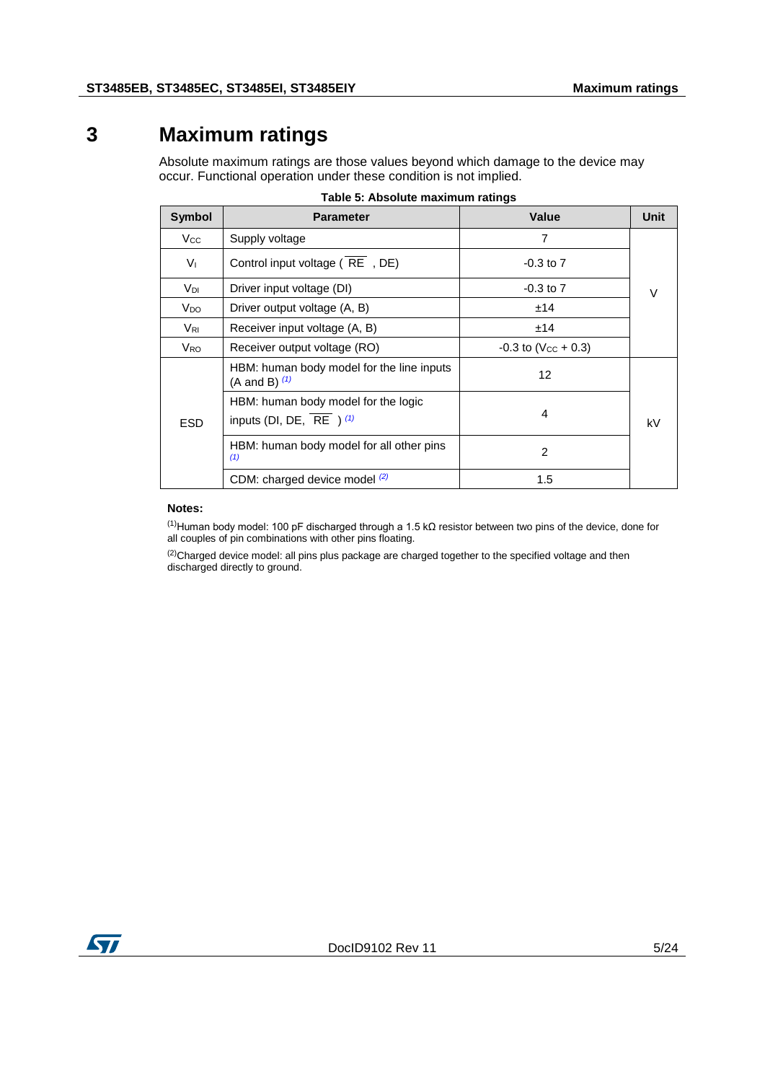### **3 Maximum ratings**

<span id="page-4-0"></span>Absolute maximum ratings are those values beyond which damage to the device may occur. Functional operation under these condition is not implied.

| <b>Symbol</b>   | <b>Parameter</b>                                                                                                                                                                                                                                                                                                                                                                 | <b>Value</b>  | Unit   |  |
|-----------------|----------------------------------------------------------------------------------------------------------------------------------------------------------------------------------------------------------------------------------------------------------------------------------------------------------------------------------------------------------------------------------|---------------|--------|--|
| $V_{\rm CC}$    | Supply voltage                                                                                                                                                                                                                                                                                                                                                                   | 7             |        |  |
| $V_{\perp}$     | Control input voltage (RE, DE)                                                                                                                                                                                                                                                                                                                                                   | $-0.3$ to $7$ |        |  |
| Vdi             | Driver input voltage (DI)                                                                                                                                                                                                                                                                                                                                                        | $-0.3$ to $7$ | $\vee$ |  |
| V <sub>DO</sub> | Driver output voltage (A, B)                                                                                                                                                                                                                                                                                                                                                     | ±14           |        |  |
| $V_{\rm RI}$    | Receiver input voltage (A, B)<br>±14<br>Receiver output voltage (RO)<br>$-0.3$ to (V <sub>cc</sub> + 0.3)<br>HBM: human body model for the line inputs<br>12<br>(A and B) $(1)$<br>HBM: human body model for the logic<br>4<br>inputs (DI, DE, $\overline{RE}$ ) (1)<br>HBM: human body model for all other pins<br>$\mathcal{P}$<br>(1)<br>CDM: charged device model (2)<br>1.5 |               |        |  |
| V <sub>RO</sub> |                                                                                                                                                                                                                                                                                                                                                                                  |               |        |  |
|                 |                                                                                                                                                                                                                                                                                                                                                                                  |               |        |  |
| <b>ESD</b>      |                                                                                                                                                                                                                                                                                                                                                                                  |               | kV     |  |
|                 |                                                                                                                                                                                                                                                                                                                                                                                  |               |        |  |
|                 |                                                                                                                                                                                                                                                                                                                                                                                  |               |        |  |

#### **Table 5: Absolute maximum ratings**

#### <span id="page-4-2"></span>**Notes:**

<span id="page-4-1"></span>(1)Human body model: 100 pF discharged through a 1.5 kΩ resistor between two pins of the device, done for all couples of pin combinations with other pins floating.

<span id="page-4-3"></span><sup>(2)</sup>Charged device model: all pins plus package are charged together to the specified voltage and then discharged directly to ground.

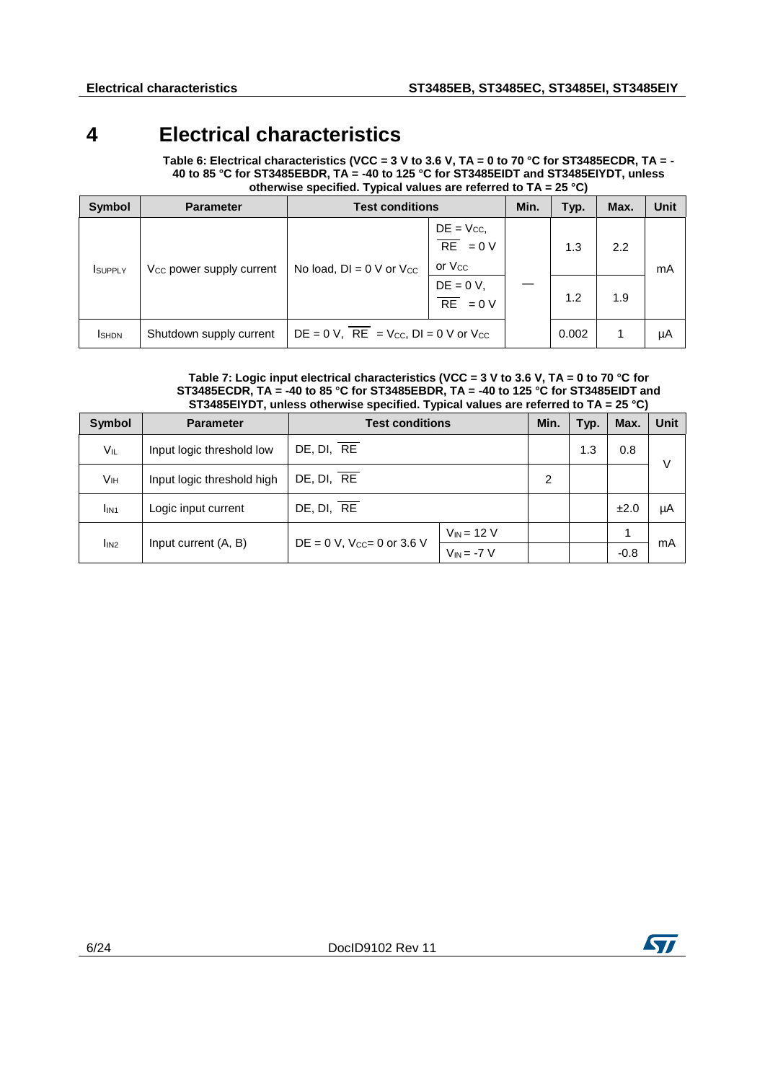# **4 Electrical characteristics**

<span id="page-5-0"></span>**Table 6: Electrical characteristics (VCC = 3 V to 3.6 V, TA = 0 to 70 °C for ST3485ECDR, TA = - 40 to 85 °C for ST3485EBDR, TA = -40 to 125 °C for ST3485EIDT and ST3485EIYDT, unless otherwise specified. Typical values are referred to TA = 25 °C)** 

| Symbol          | <b>Parameter</b>                     | <b>Test conditions</b>                                         |                                                              | Min. | Typ.  | Max. | Unit |
|-----------------|--------------------------------------|----------------------------------------------------------------|--------------------------------------------------------------|------|-------|------|------|
| <b>I</b> SUPPLY | V <sub>cc</sub> power supply current | No load, $DI = 0$ V or $V_{CC}$                                | $DE = V_{CC}$<br>$\overline{RE} = 0 V$<br>or V <sub>cc</sub> |      | 1.3   | 2.2  | mA   |
|                 |                                      |                                                                | $DE = 0 V,$<br>$\overline{RE} = 0 V$                         |      | 1.2   | 1.9  |      |
| <b>I</b> SHDN   | Shutdown supply current              | $DE = 0 V$ , $\overline{RE} = V_{CC}$ , $DI = 0 V$ or $V_{CC}$ |                                                              |      | 0.002 |      | μA   |

#### **Table 7: Logic input electrical characteristics (VCC = 3 V to 3.6 V, TA = 0 to 70 °C for ST3485ECDR, TA = -40 to 85 °C for ST3485EBDR, TA = -40 to 125 °C for ST3485EIDT and ST3485EIYDT, unless otherwise specified. Typical values are referred to TA = 25 °C)**

| <b>Symbol</b>    | <b>Parameter</b>           | <b>Test conditions</b>             |                 | Min. | Typ. | Max.   | Unit |
|------------------|----------------------------|------------------------------------|-----------------|------|------|--------|------|
| VIL              | Input logic threshold low  | DE, DI, RE                         |                 |      | 1.3  | 0.8    | V    |
| Vıн              | Input logic threshold high | DE, DI, RE                         | 2               |      |      |        |      |
| I <sub>IN1</sub> | Logic input current        | DE, DI, RE                         |                 |      |      | ±2.0   | μA   |
| l <sub>IN2</sub> | Input current (A, B)       |                                    | $V_{IN}$ = 12 V |      |      | 1      | mA   |
|                  |                            | $DE = 0 V$ , $V_{CC} = 0$ or 3.6 V | $V_{IN} = -7 V$ |      |      | $-0.8$ |      |



**ST**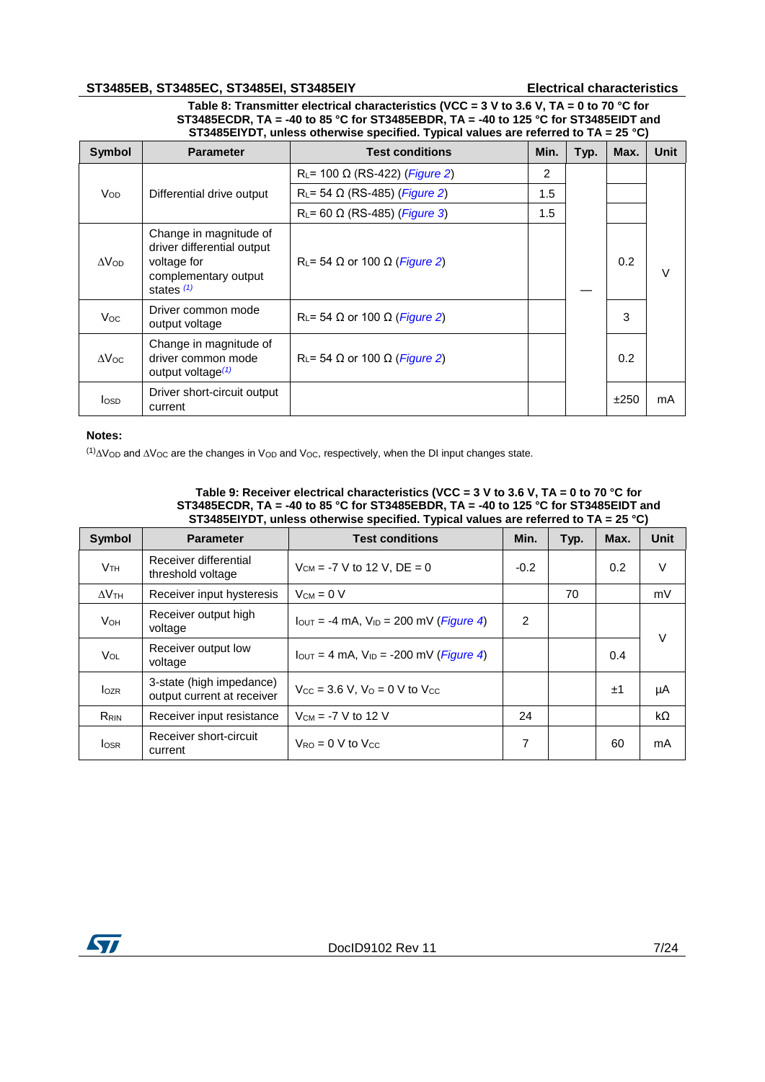### **ST3485EB, ST3485EC, ST3485EI, ST3485EIY Electrical characteristics**

**Table 8: Transmitter electrical characteristics (VCC = 3 V to 3.6 V, TA = 0 to 70 °C for ST3485ECDR, TA = -40 to 85 °C for ST3485EBDR, TA = -40 to 125 °C for ST3485EIDT and ST3485EIYDT, unless otherwise specified. Typical values are referred to TA = 25 °C)** 

| <b>Symbol</b>   | <b>Parameter</b>                                                                                            | <b>Test conditions</b>                                     | Min. | Typ. | Max. | <b>Unit</b> |
|-----------------|-------------------------------------------------------------------------------------------------------------|------------------------------------------------------------|------|------|------|-------------|
|                 |                                                                                                             | R <sub>L</sub> = 100 $\Omega$ (RS-422) ( <i>Figure 2</i> ) | 2    |      |      |             |
| V <sub>OD</sub> | Differential drive output                                                                                   | R <sub>L</sub> = 54 $\Omega$ (RS-485) ( <i>Figure 2</i> )  | 1.5  |      |      |             |
|                 |                                                                                                             | R <sub>L</sub> = 60 $\Omega$ (RS-485) ( <i>Figure 3</i> )  | 1.5  |      |      |             |
| $\Delta V$ OD   | Change in magnitude of<br>driver differential output<br>voltage for<br>complementary output<br>states $(1)$ | $R_L$ = 54 $\Omega$ or 100 $\Omega$ ( <i>Figure 2</i> )    |      |      | 0.2  | V           |
| Voc.            | Driver common mode<br>output voltage                                                                        | $R_L$ = 54 $\Omega$ or 100 $\Omega$ ( <i>Figure 2</i> )    |      |      | 3    |             |
| $\Delta$ Voc    | Change in magnitude of<br>driver common mode<br>output voltage $(1)$                                        | $R_L$ = 54 $\Omega$ or 100 $\Omega$ ( <i>Figure 2</i> )    |      |      | 0.2  |             |
| <b>l</b> osp    | Driver short-circuit output<br>current                                                                      |                                                            |      |      | ±250 | mA          |

### **Notes:**

<span id="page-6-0"></span>(1)∆VOD and ∆VOC are the changes in VOD and VOC, respectively, when the DI input changes state.

| Table 9: Receiver electrical characteristics (VCC = $3$ V to 3.6 V, TA = 0 to 70 °C for |
|-----------------------------------------------------------------------------------------|
| ST3485ECDR. TA = -40 to 85 °C for ST3485EBDR. TA = -40 to 125 °C for ST3485EIDT and     |
| ST3485EIYDT, unless otherwise specified. Typical values are referred to $TA = 25$ °C)   |

| <b>Symbol</b>   | <b>Parameter</b>                                       | <b>Test conditions</b>                                                                  | Min.           | Typ. | Max. | <b>Unit</b> |
|-----------------|--------------------------------------------------------|-----------------------------------------------------------------------------------------|----------------|------|------|-------------|
| V <sub>TH</sub> | Receiver differential<br>threshold voltage             | $V_{CM} = -7 V$ to 12 V, DE = 0                                                         | $-0.2$         |      | 0.2  | V           |
| $\Delta V$ th   | Receiver input hysteresis                              | $V_{CM} = 0 V$                                                                          |                | 70   |      | mV          |
| <b>V</b> он     | Receiver output high<br>voltage                        | $I_{\text{OUT}} = -4 \text{ mA}$ , $V_{\text{ID}} = 200 \text{ mV}$ ( <i>Figure 4</i> ) | $\overline{2}$ |      |      | V           |
| <b>Vol</b>      | Receiver output low<br>voltage                         | $I_{\text{OUT}} = 4 \text{ mA}$ , $V_{\text{ID}} = -200 \text{ mV}$ ( <i>Figure 4</i> ) |                |      | 0.4  |             |
| $I_{OZR}$       | 3-state (high impedance)<br>output current at receiver | $V_{\text{CC}} = 3.6 \text{ V}$ . $V_{\Omega} = 0 \text{ V}$ to $V_{\text{CC}}$         |                |      | ±1   | μA          |
| RRIN            | Receiver input resistance                              | $V_{CM}$ = -7 V to 12 V                                                                 | 24             |      |      | kΩ          |
| <b>losr</b>     | Receiver short-circuit<br>current                      | $V_{RO} = 0$ V to $V_{CC}$                                                              | 7              |      | 60   | mA          |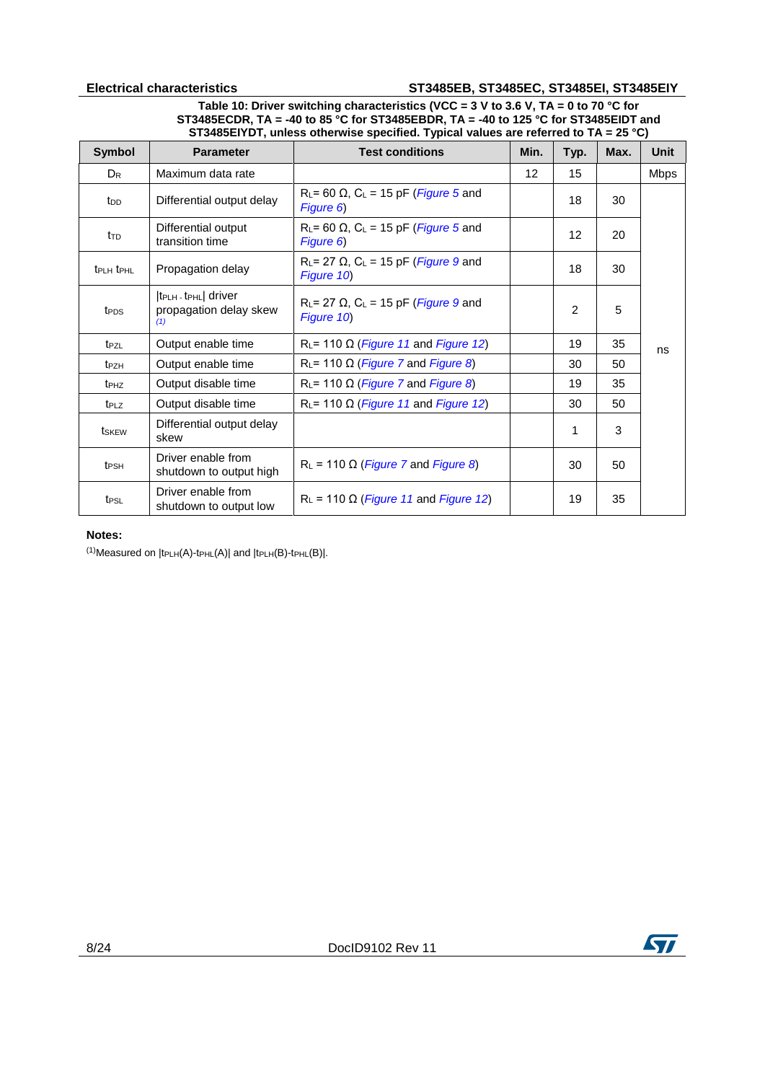### **Electrical characteristics ST3485EB, ST3485EC, ST3485EI, ST3485EIY**

**Table 10: Driver switching characteristics (VCC = 3 V to 3.6 V, TA = 0 to 70 °C for ST3485ECDR, TA = -40 to 85 °C for ST3485EBDR, TA = -40 to 125 °C for ST3485EIDT and ST3485EIYDT, unless otherwise specified. Typical values are referred to TA = 25 °C)** 

| <b>Symbol</b>                     | <b>Parameter</b>                                                                   | <b>Test conditions</b>                                                                   | Min. | Typ.            | Max. | Unit        |
|-----------------------------------|------------------------------------------------------------------------------------|------------------------------------------------------------------------------------------|------|-----------------|------|-------------|
| $D_R$                             | Maximum data rate                                                                  |                                                                                          | 12   | 15              |      | <b>Mbps</b> |
| top                               | Differential output delay                                                          | R <sub>L</sub> = 60 $\Omega$ , C <sub>L</sub> = 15 pF ( <i>Figure</i> 5 and<br>Figure 6) |      | 18              | 30   |             |
| t⊤p                               | Differential output<br>transition time                                             | R <sub>L</sub> = 60 $\Omega$ , C <sub>L</sub> = 15 pF ( <i>Figure 5</i> and<br>Figure 6) |      | 12 <sup>2</sup> | 20   |             |
| $t_{\text{PLH}}$ $t_{\text{PHL}}$ | Propagation delay                                                                  | $R_L$ = 27 $\Omega$ , $C_L$ = 15 pF ( <i>Figure 9</i> and<br>Figure 10)                  |      | 18              | 30   |             |
| t <sub>PDS</sub>                  | $ t_{\text{PLH}}$ $\cdot$ $t_{\text{PHL}}$ driver<br>propagation delay skew<br>(1) | $R_L$ = 27 $\Omega$ , $C_L$ = 15 pF ( <i>Figure 9</i> and<br>Figure 10)                  |      | $\overline{2}$  | 5    |             |
| t <sub>PZL</sub>                  | Output enable time                                                                 | $R_L$ = 110 $\Omega$ ( <i>Figure 11</i> and <i>Figure 12</i> )                           |      | 19              | 35   | ns          |
| t <sub>PZH</sub>                  | Output enable time                                                                 | $R_{L}$ = 110 $\Omega$ ( <i>Figure 7</i> and <i>Figure 8</i> )                           |      | 30              | 50   |             |
| t <sub>PHZ</sub>                  | Output disable time                                                                | $R_{L}$ = 110 $\Omega$ ( <i>Figure 7</i> and <i>Figure 8</i> )                           |      | 19              | 35   |             |
| t <sub>PLZ</sub>                  | Output disable time                                                                | $R_L$ = 110 $\Omega$ ( <i>Figure 11</i> and <i>Figure 12</i> )                           |      | 30              | 50   |             |
| tskew                             | Differential output delay<br>skew                                                  |                                                                                          |      | 1               | 3    |             |
| t <sub>PSH</sub>                  | Driver enable from<br>shutdown to output high                                      | $R_L$ = 110 $\Omega$ ( <i>Figure 7</i> and <i>Figure 8</i> )                             |      | 30              | 50   |             |
| t <sub>PSL</sub>                  | Driver enable from<br>shutdown to output low                                       | $R_L$ = 110 $\Omega$ ( <i>Figure 11</i> and <i>Figure 12</i> )                           |      | 19              | 35   |             |

#### **Notes:**

<span id="page-7-0"></span> $(1)$ Measured on  $|t$ PLH(A)-tPHL(A)| and  $|t$ PLH(B)-tPHL(B)|.

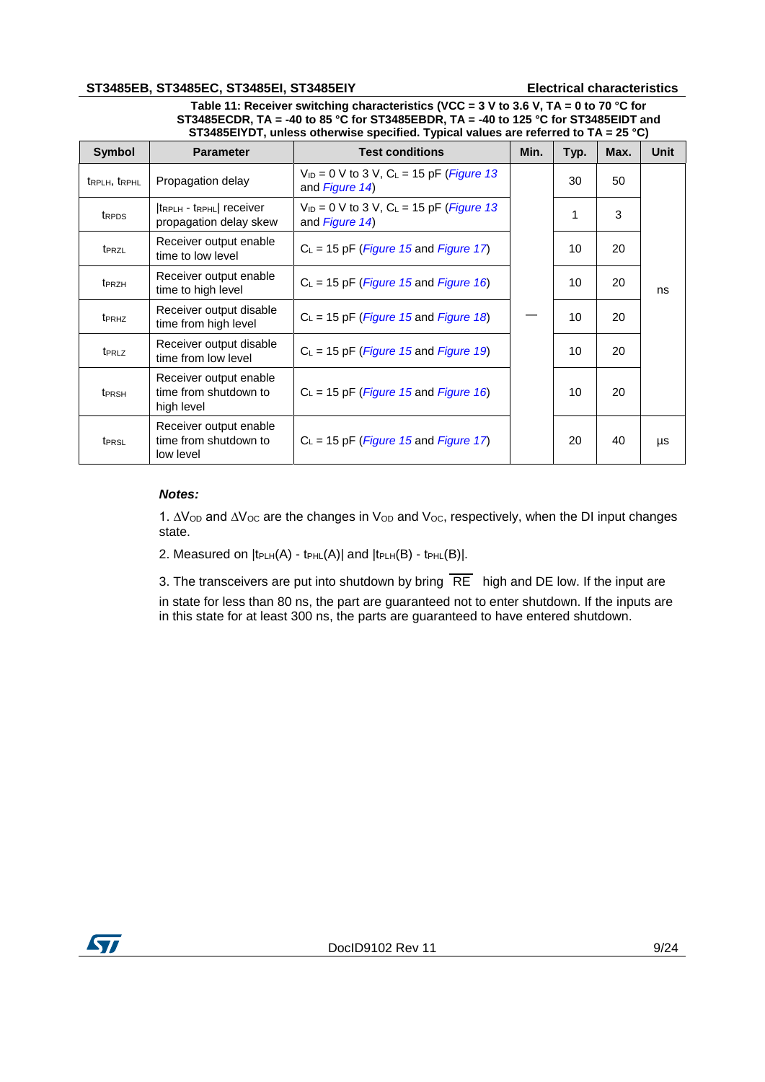#### **ST3485EB, ST3485EC, ST3485EI, ST3485EIY Electrical characteristics**

**Table 11: Receiver switching characteristics (VCC = 3 V to 3.6 V, TA = 0 to 70 °C for ST3485ECDR, TA = -40 to 85 °C for ST3485EBDR, TA = -40 to 125 °C for ST3485EIDT and ST3485EIYDT, unless otherwise specified. Typical values are referred to TA = 25 °C)** 

| <b>Symbol</b>                         | <b>Parameter</b>                                              | <b>Test conditions</b>                                                             | Min. | Typ. | Max. | Unit |
|---------------------------------------|---------------------------------------------------------------|------------------------------------------------------------------------------------|------|------|------|------|
| t <sub>RPLH</sub> , t <sub>RPHL</sub> | Propagation delay                                             | $V_{ID} = 0$ V to 3 V, C <sub>L</sub> = 15 pF ( <i>Figure 13</i><br>and Figure 14) |      | 30   | 50   |      |
| t <sub>RPDS</sub>                     | $ $ t $RPLH -$ t $RPHL$ receiver<br>propagation delay skew    | $V_{1D} = 0$ V to 3 V, C <sub>L</sub> = 15 pF ( <i>Figure 13</i><br>and Figure 14) |      | 1    | 3    |      |
| t <sub>PRZL</sub>                     | Receiver output enable<br>time to low level                   | $C_L$ = 15 pF ( <i>Figure 15</i> and <i>Figure 17</i> )                            |      | 10   | 20   |      |
| t <sub>PRZH</sub>                     | Receiver output enable<br>time to high level                  | $C_L$ = 15 pF ( <i>Figure 15</i> and <i>Figure 16</i> )                            |      | 10   | 20   | ns   |
| t <sub>PRHZ</sub>                     | Receiver output disable<br>time from high level               | $C_L$ = 15 pF ( <i>Figure 15</i> and <i>Figure 18</i> )                            |      | 10   | 20   |      |
| t <sub>PRLZ</sub>                     | Receiver output disable<br>time from low level                | $C_L$ = 15 pF ( <i>Figure 15</i> and <i>Figure 19</i> )                            |      | 10   | 20   |      |
| t <sub>PRSH</sub>                     | Receiver output enable<br>time from shutdown to<br>high level | $C_L$ = 15 pF ( <i>Figure 15</i> and <i>Figure 16</i> )                            |      | 10   | 20   |      |
| t <sub>PRSL</sub>                     | Receiver output enable<br>time from shutdown to<br>low level  | $C_L$ = 15 pF ( <i>Figure 15</i> and <i>Figure 17</i> )                            |      | 20   | 40   | μs   |

### *Notes:*

1. ∆Vop and ∆Voc are the changes in Vop and Voc, respectively, when the DI input changes state.

2. Measured on  $|t_{PLH}(A) - t_{PHL}(A)|$  and  $|t_{PLH}(B) - t_{PHL}(B)|$ .

3. The transceivers are put into shutdown by bring  $\overline{RE}$  high and DE low. If the input are

in state for less than 80 ns, the part are guaranteed not to enter shutdown. If the inputs are in this state for at least 300 ns, the parts are guaranteed to have entered shutdown.

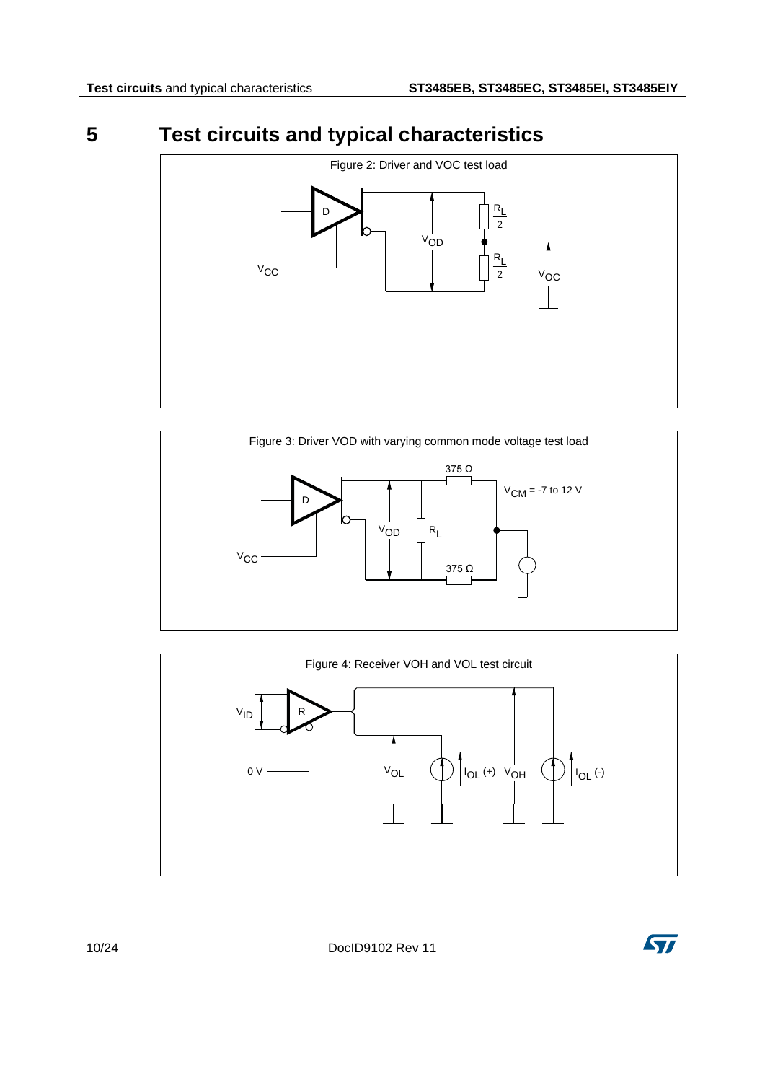# **5 Test circuits and typical characteristics**

<span id="page-9-1"></span><span id="page-9-0"></span>

<span id="page-9-2"></span>

<span id="page-9-3"></span>

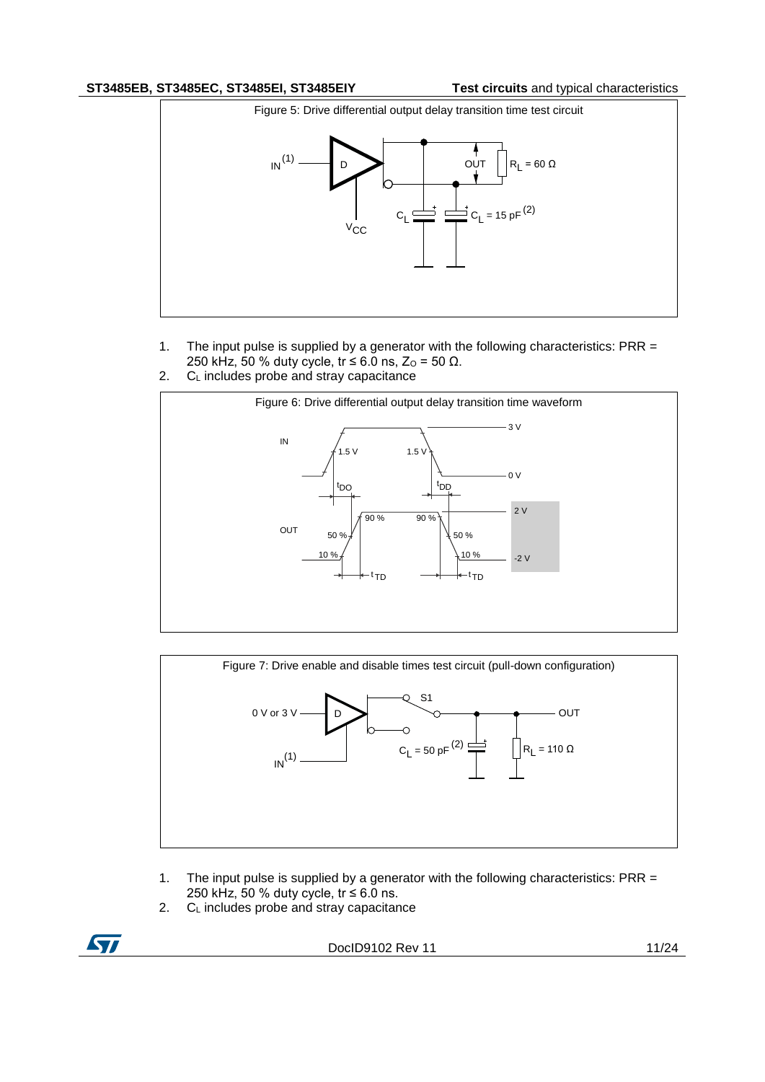### **ST3485EB, ST3485EC, ST3485EI, ST3485EIY Test circuits** and typical characteristics

<span id="page-10-0"></span>

- 1. The input pulse is supplied by a generator with the following characteristics: PRR = 250 kHz, 50 % duty cycle, tr  $\leq$  6.0 ns, Z<sub>o</sub> = 50 Ω.
- 2. C<sub>L</sub> includes probe and stray capacitance

<span id="page-10-1"></span>

<span id="page-10-2"></span>

- 1. The input pulse is supplied by a generator with the following characteristics: PRR = 250 kHz, 50 % duty cycle,  $tr \leq 6.0$  ns.
- 2. C<sub>L</sub> includes probe and stray capacitance

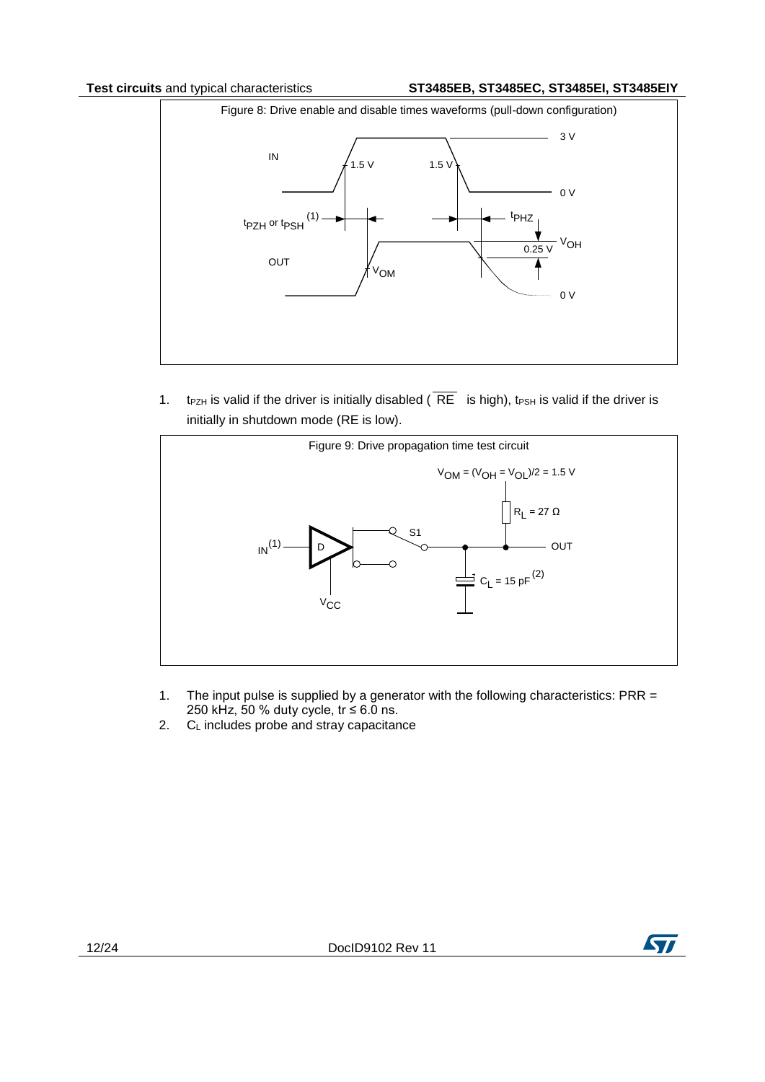<span id="page-11-1"></span>

1. t<sub>PZH</sub> is valid if the driver is initially disabled ( $\overline{RE}$  is high), t<sub>PSH</sub> is valid if the driver is initially in shutdown mode (RE is low).

<span id="page-11-0"></span>

- 1. The input pulse is supplied by a generator with the following characteristics: PRR = 250 kHz, 50 % duty cycle,  $tr \leq 6.0$  ns.
- 2. C<sub>L</sub> includes probe and stray capacitance

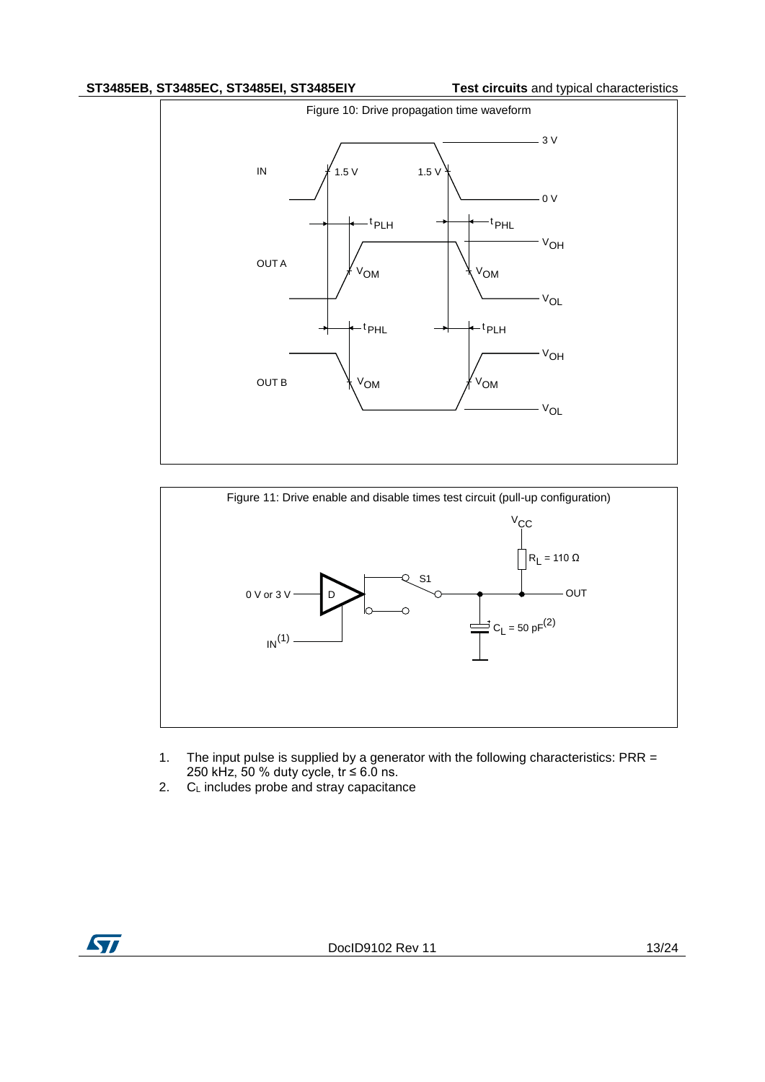### **ST3485EB, ST3485EC, ST3485EI, ST3485EIY Test circuits** and typical characteristics

<span id="page-12-0"></span>

<span id="page-12-1"></span>

- 1. The input pulse is supplied by a generator with the following characteristics: PRR = 250 kHz, 50 % duty cycle, tr ≤ 6.0 ns.
- 2. CL includes probe and stray capacitance

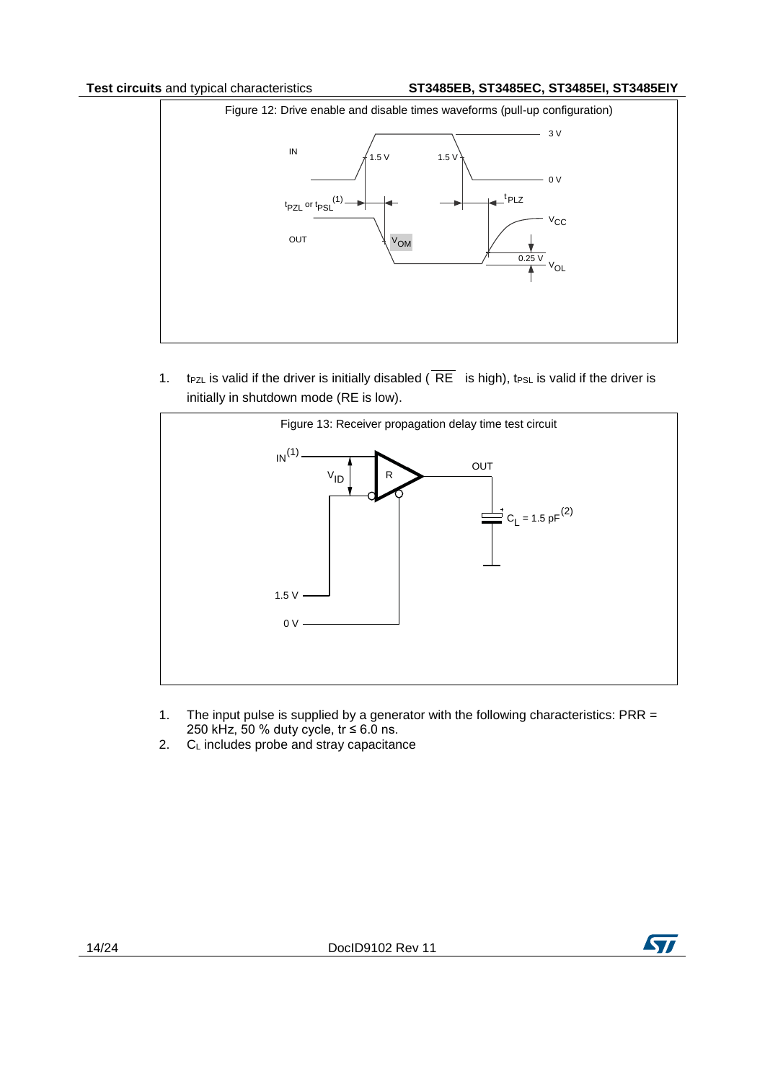<span id="page-13-0"></span>

1. t<sub>PZL</sub> is valid if the driver is initially disabled ( $\overline{RE}$  is high), t<sub>PSL</sub> is valid if the driver is initially in shutdown mode (RE is low).

<span id="page-13-1"></span>

- 1. The input pulse is supplied by a generator with the following characteristics: PRR = 250 kHz, 50 % duty cycle, tr ≤ 6.0 ns.
- 2.  $C_L$  includes probe and stray capacitance



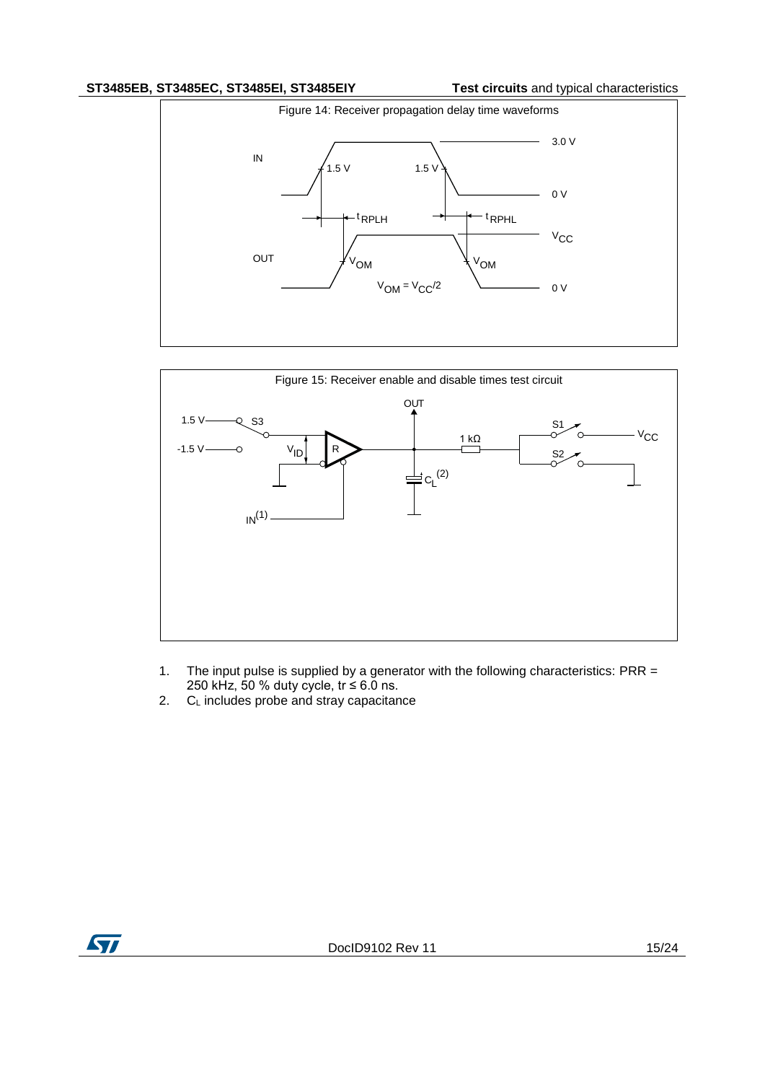### **ST3485EB, ST3485EC, ST3485EI, ST3485EIY Test circuits** and typical characteristics

<span id="page-14-0"></span>

<span id="page-14-1"></span>

- 1. The input pulse is supplied by a generator with the following characteristics: PRR = 250 kHz, 50 % duty cycle,  $tr \leq 6.0$  ns.
- 2.  $C_L$  includes probe and stray capacitance

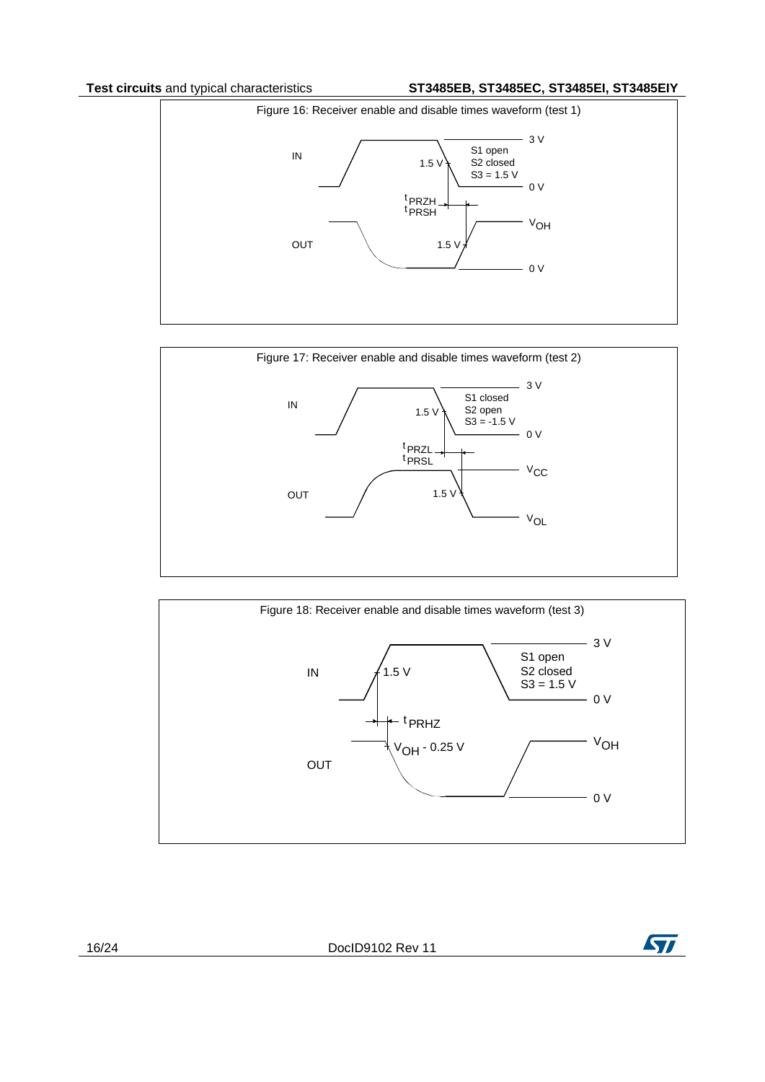### **Test circuits** and typical characteristics **ST3485EB, ST3485EC, ST3485EI, ST3485EIY**

<span id="page-15-1"></span>

<span id="page-15-0"></span>

<span id="page-15-2"></span>

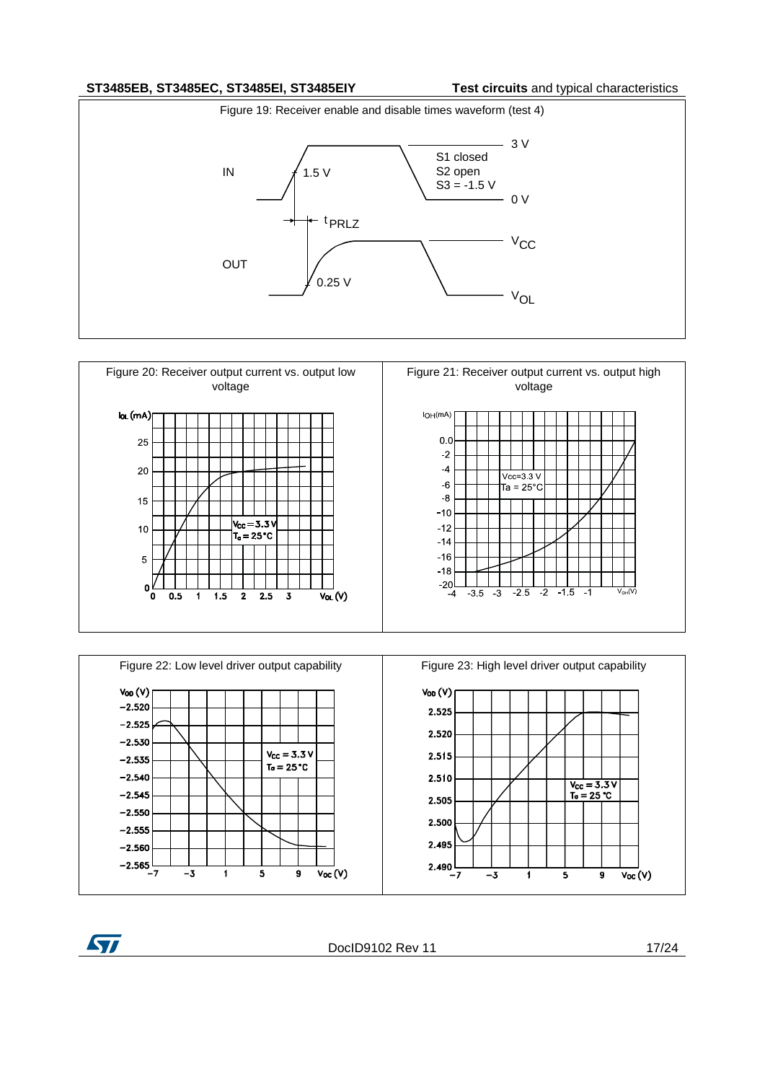### **ST3485EB, ST3485EC, ST3485EI, ST3485EIY Test circuits** and typical characteristics

<span id="page-16-2"></span>

<span id="page-16-0"></span>

<span id="page-16-1"></span>



DocID9102 Rev 11 17/24

**ST**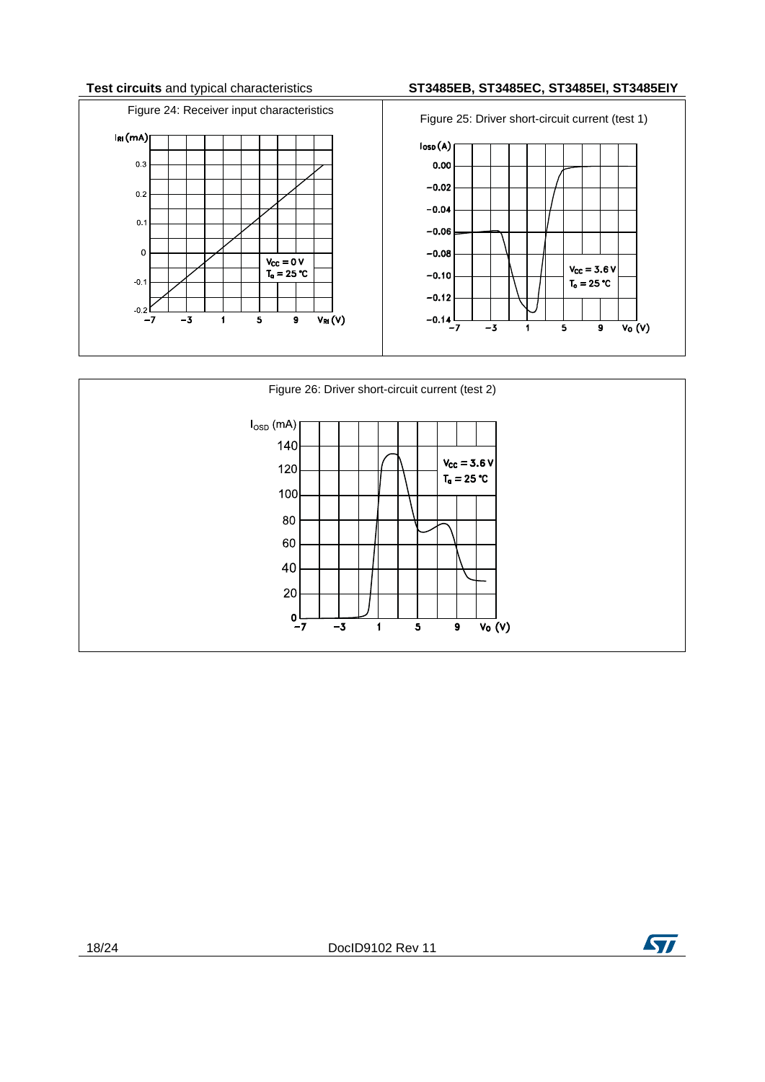### **Test circuits** and typical characteristics **ST3485EB, ST3485EC, ST3485EI, ST3485EIY**

<span id="page-17-0"></span>

<span id="page-17-1"></span>

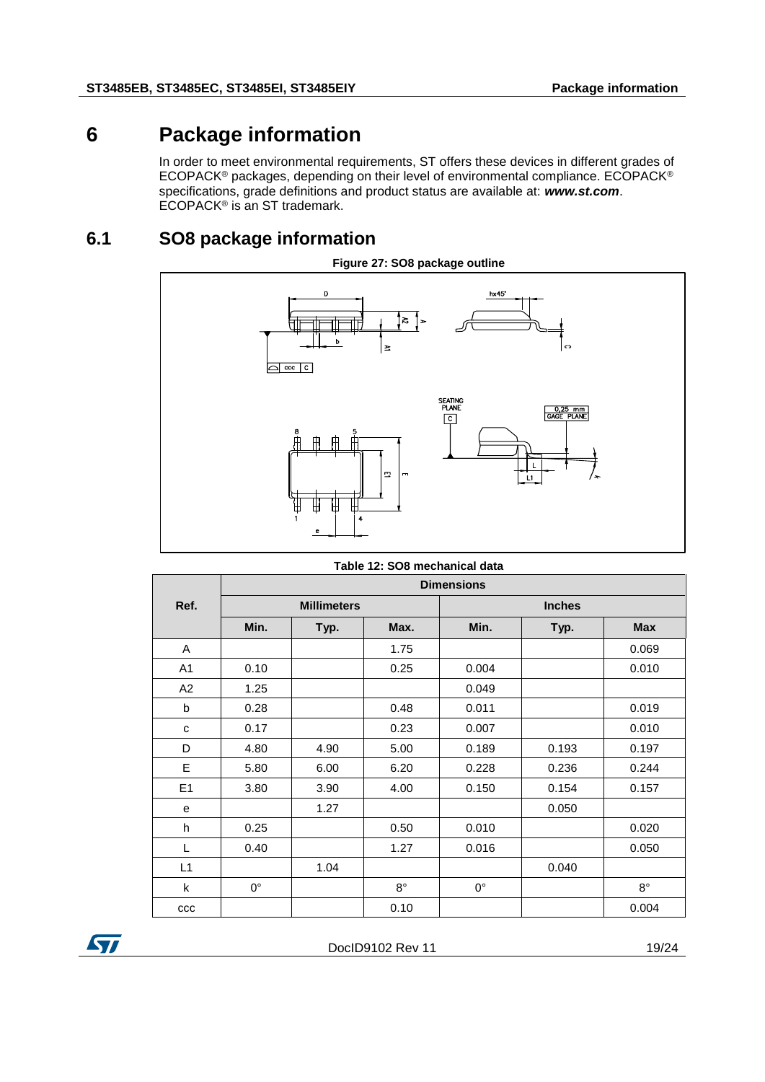### **6 Package information**

<span id="page-18-0"></span>In order to meet environmental requirements, ST offers these devices in different grades of ECOPACK® packages, depending on their level of environmental compliance. ECOPACK® specifications, grade definitions and product status are available at: *www.st.com*. ECOPACK<sup>®</sup> is an ST trademark.

### **6.1 SO8 package information**

<span id="page-18-1"></span>

|  |  |  | Table 12: SO8 mechanical data |  |
|--|--|--|-------------------------------|--|
|--|--|--|-------------------------------|--|

|                | <b>Dimensions</b>  |      |             |               |       |             |
|----------------|--------------------|------|-------------|---------------|-------|-------------|
| Ref.           | <b>Millimeters</b> |      |             | <b>Inches</b> |       |             |
|                | Min.               | Typ. | Max.        | Min.          | Typ.  | <b>Max</b>  |
| A              |                    |      | 1.75        |               |       | 0.069       |
| A <sub>1</sub> | 0.10               |      | 0.25        | 0.004         |       | 0.010       |
| A2             | 1.25               |      |             | 0.049         |       |             |
| b              | 0.28               |      | 0.48        | 0.011         |       | 0.019       |
| с              | 0.17               |      | 0.23        | 0.007         |       | 0.010       |
| D              | 4.80               | 4.90 | 5.00        | 0.189         | 0.193 | 0.197       |
| E              | 5.80               | 6.00 | 6.20        | 0.228         | 0.236 | 0.244       |
| E1             | 3.80               | 3.90 | 4.00        | 0.150         | 0.154 | 0.157       |
| e              |                    | 1.27 |             |               | 0.050 |             |
| h              | 0.25               |      | 0.50        | 0.010         |       | 0.020       |
| L              | 0.40               |      | 1.27        | 0.016         |       | 0.050       |
| L1             |                    | 1.04 |             |               | 0.040 |             |
| $\mathsf{k}$   | $0^{\circ}$        |      | $8^{\circ}$ | $0^{\circ}$   |       | $8^{\circ}$ |
| ccc            |                    |      | 0.10        |               |       | 0.004       |



DocID9102 Rev 11 19/24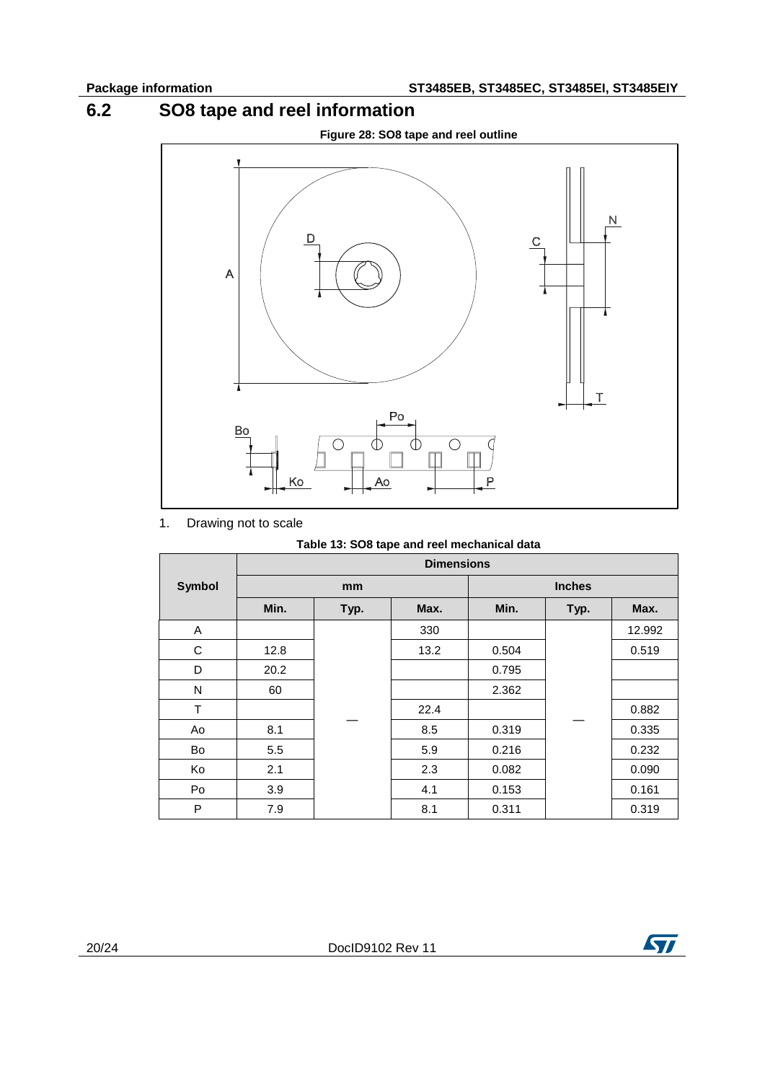### **6.2 SO8 tape and reel information**

<span id="page-19-0"></span>

1. Drawing not to scale

### **Table 13: SO8 tape and reel mechanical data**

|               | <b>Dimensions</b> |      |      |               |      |        |
|---------------|-------------------|------|------|---------------|------|--------|
| <b>Symbol</b> | mm                |      |      | <b>Inches</b> |      |        |
|               | Min.              | Typ. | Max. | Min.          | Typ. | Max.   |
| A             |                   |      | 330  |               |      | 12.992 |
| С             | 12.8              |      | 13.2 | 0.504         |      | 0.519  |
| D             | 20.2              |      |      | 0.795         |      |        |
| N             | 60                |      |      | 2.362         |      |        |
| T             |                   |      | 22.4 |               |      | 0.882  |
| Ao            | 8.1               |      | 8.5  | 0.319         |      | 0.335  |
| Bo            | 5.5               |      | 5.9  | 0.216         |      | 0.232  |
| Ko            | 2.1               |      | 2.3  | 0.082         |      | 0.090  |
| Po            | 3.9               |      | 4.1  | 0.153         |      | 0.161  |
| P             | 7.9               |      | 8.1  | 0.311         |      | 0.319  |

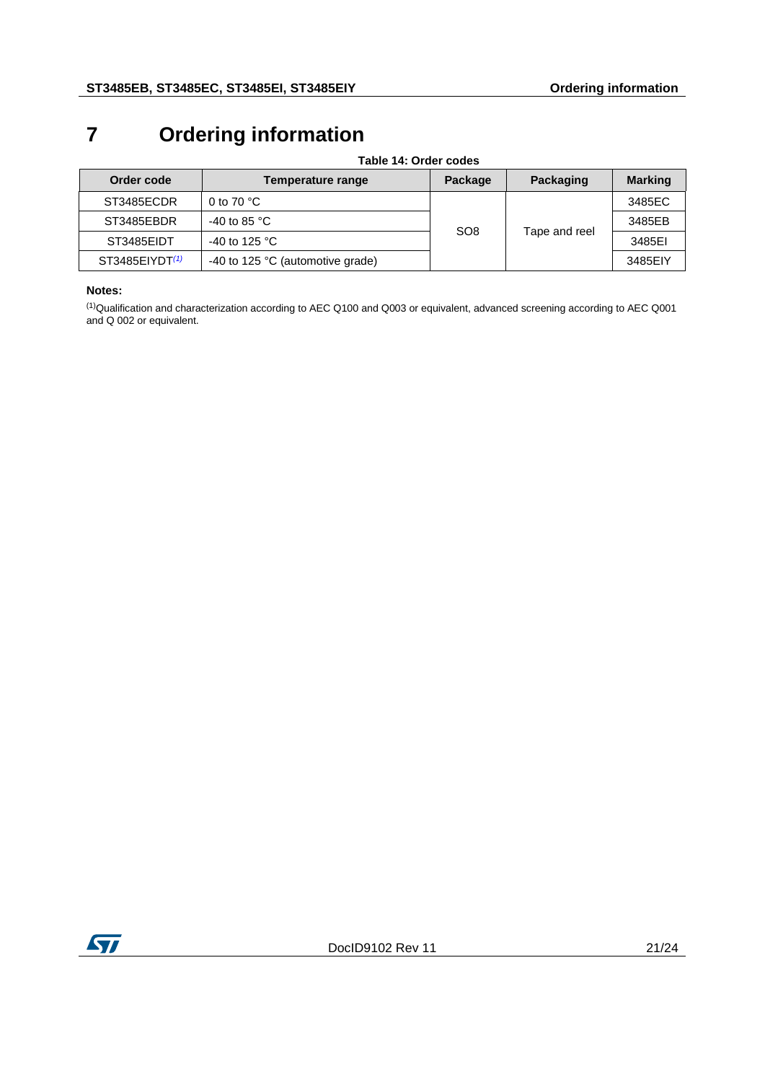# <span id="page-20-0"></span>**7 Ordering information**

| Order code                 | Temperature range                         | Package         | Packaging     | <b>Marking</b> |
|----------------------------|-------------------------------------------|-----------------|---------------|----------------|
| ST3485ECDR                 | 0 to 70 $^{\circ}$ C                      |                 |               | 3485EC         |
| ST3485EBDR                 | -40 to 85 $^{\circ}$ C                    | SO <sub>8</sub> |               | 3485EB         |
| ST3485EIDT                 | -40 to 125 $^{\circ}$ C                   |                 | Tape and reel | 3485EI         |
| ST3485EIVDT <sup>(1)</sup> | -40 to 125 $\degree$ C (automotive grade) |                 |               | 3485EIY        |

#### **Table 14: Order codes**

### **Notes:**

<span id="page-20-1"></span>(1)Qualification and characterization according to AEC Q100 and Q003 or equivalent, advanced screening according to AEC Q001 and Q 002 or equivalent.

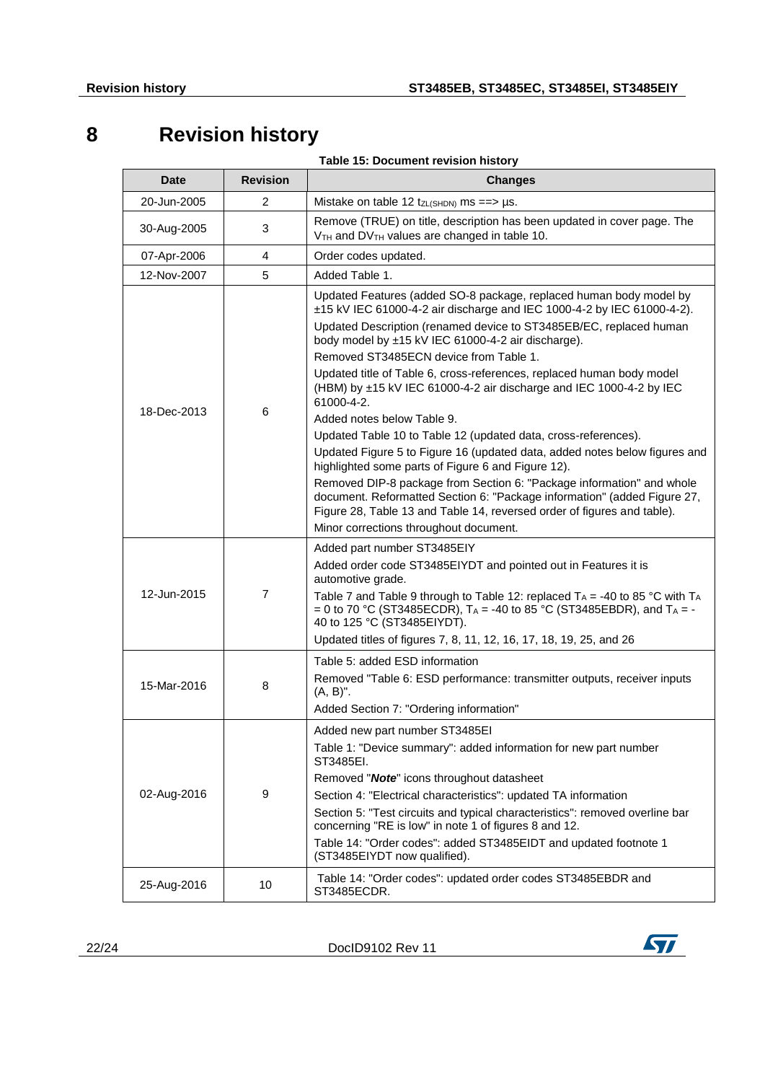# <span id="page-21-0"></span>**8 Revision history**

**Table 15: Document revision history** 

| <b>Date</b> | <b>Revision</b> | <b>Changes</b>                                                                                                                                                                                                                                                                                                                                                                                                                                                                                                                                                                                                                                                                                                                                                                                                                                                                                                                                                                                 |
|-------------|-----------------|------------------------------------------------------------------------------------------------------------------------------------------------------------------------------------------------------------------------------------------------------------------------------------------------------------------------------------------------------------------------------------------------------------------------------------------------------------------------------------------------------------------------------------------------------------------------------------------------------------------------------------------------------------------------------------------------------------------------------------------------------------------------------------------------------------------------------------------------------------------------------------------------------------------------------------------------------------------------------------------------|
| 20-Jun-2005 | 2               | Mistake on table 12 $tzL(SHDN)$ ms ==> µs.                                                                                                                                                                                                                                                                                                                                                                                                                                                                                                                                                                                                                                                                                                                                                                                                                                                                                                                                                     |
| 30-Aug-2005 | 3               | Remove (TRUE) on title, description has been updated in cover page. The<br>V <sub>TH</sub> and DV <sub>TH</sub> values are changed in table 10.                                                                                                                                                                                                                                                                                                                                                                                                                                                                                                                                                                                                                                                                                                                                                                                                                                                |
| 07-Apr-2006 | 4               | Order codes updated.                                                                                                                                                                                                                                                                                                                                                                                                                                                                                                                                                                                                                                                                                                                                                                                                                                                                                                                                                                           |
| 12-Nov-2007 | 5               | Added Table 1.                                                                                                                                                                                                                                                                                                                                                                                                                                                                                                                                                                                                                                                                                                                                                                                                                                                                                                                                                                                 |
| 18-Dec-2013 | 6               | Updated Features (added SO-8 package, replaced human body model by<br>±15 kV IEC 61000-4-2 air discharge and IEC 1000-4-2 by IEC 61000-4-2).<br>Updated Description (renamed device to ST3485EB/EC, replaced human<br>body model by ±15 kV IEC 61000-4-2 air discharge).<br>Removed ST3485ECN device from Table 1.<br>Updated title of Table 6, cross-references, replaced human body model<br>(HBM) by ±15 kV IEC 61000-4-2 air discharge and IEC 1000-4-2 by IEC<br>61000-4-2.<br>Added notes below Table 9.<br>Updated Table 10 to Table 12 (updated data, cross-references).<br>Updated Figure 5 to Figure 16 (updated data, added notes below figures and<br>highlighted some parts of Figure 6 and Figure 12).<br>Removed DIP-8 package from Section 6: "Package information" and whole<br>document. Reformatted Section 6: "Package information" (added Figure 27,<br>Figure 28, Table 13 and Table 14, reversed order of figures and table).<br>Minor corrections throughout document. |
| 12-Jun-2015 | 7               | Added part number ST3485EIY<br>Added order code ST3485EIYDT and pointed out in Features it is<br>automotive grade.<br>Table 7 and Table 9 through to Table 12: replaced $T_A = -40$ to 85 °C with $T_A$<br>= 0 to 70 °C (ST3485ECDR), $T_A$ = -40 to 85 °C (ST3485EBDR), and $T_A$ = -<br>40 to 125 °C (ST3485EIYDT).<br>Updated titles of figures 7, 8, 11, 12, 16, 17, 18, 19, 25, and 26                                                                                                                                                                                                                                                                                                                                                                                                                                                                                                                                                                                                    |
| 15-Mar-2016 | 8               | Table 5: added ESD information<br>Removed "Table 6: ESD performance: transmitter outputs, receiver inputs<br>$(A, B)$ ".<br>Added Section 7: "Ordering information"                                                                                                                                                                                                                                                                                                                                                                                                                                                                                                                                                                                                                                                                                                                                                                                                                            |
| 02-Aug-2016 | 9               | Added new part number ST3485EI<br>Table 1: "Device summary": added information for new part number<br>ST3485EI.<br>Removed "Note" icons throughout datasheet<br>Section 4: "Electrical characteristics": updated TA information<br>Section 5: "Test circuits and typical characteristics": removed overline bar<br>concerning "RE is low" in note 1 of figures 8 and 12.<br>Table 14: "Order codes": added ST3485EIDT and updated footnote 1<br>(ST3485EIYDT now qualified).                                                                                                                                                                                                                                                                                                                                                                                                                                                                                                                   |
| 25-Aug-2016 | 10              | Table 14: "Order codes": updated order codes ST3485EBDR and<br>ST3485ECDR.                                                                                                                                                                                                                                                                                                                                                                                                                                                                                                                                                                                                                                                                                                                                                                                                                                                                                                                     |

22/24 DocID9102 Rev 11

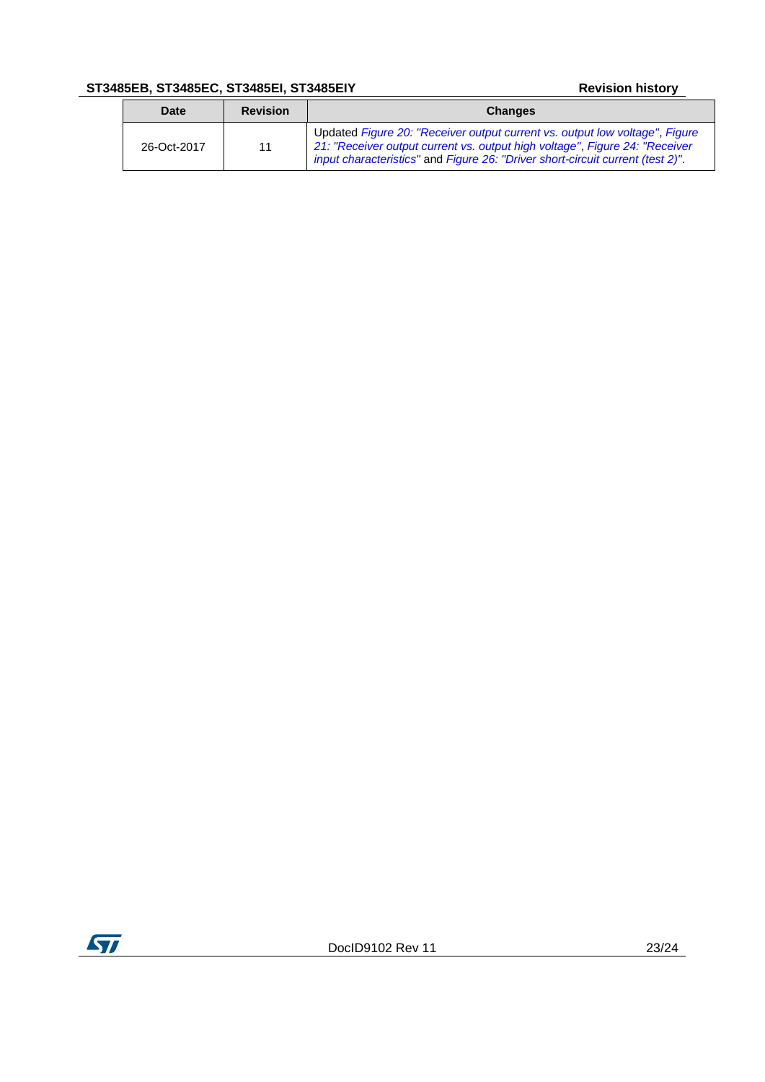### **ST3485EB, ST3485EC, ST3485EI, ST3485EIY Revision history**

| Date        | <b>Revision</b> | <b>Changes</b>                                                                                                                                                                                                                               |
|-------------|-----------------|----------------------------------------------------------------------------------------------------------------------------------------------------------------------------------------------------------------------------------------------|
| 26-Oct-2017 | 11              | Updated Figure 20: "Receiver output current vs. output low voltage", Figure<br>21: "Receiver output current vs. output high voltage", Figure 24: "Receiver<br>input characteristics" and Figure 26: "Driver short-circuit current (test 2)". |